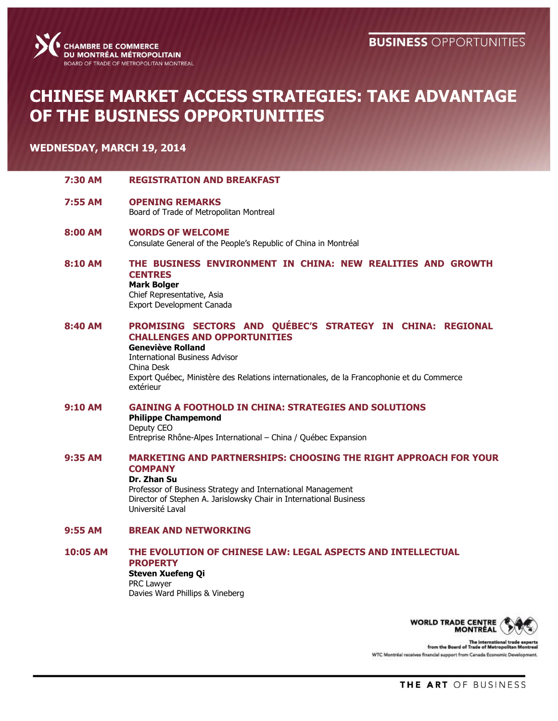

# **CHINESE MARKET ACCESS STRATEGIES: TAKE ADVANTAGE OF THE BUSINESS OPPORTUNITIES**

### **WEDNESDAY, MARCH 19, 2014**

- **7:30 AM REGISTRATION AND BREAKFAST**
- **7:55 AM OPENING REMARKS** Board of Trade of Metropolitan Montreal
- **8:00 AM WORDS OF WELCOME** Consulate General of the People's Republic of China in Montréal
- **8:10 AM THE BUSINESS ENVIRONMENT IN CHINA: NEW REALITIES AND GROWTH CENTRES Mark Bolger**

Chief Representative, Asia Export Development Canada

**8:40 AM PROMISING SECTORS AND QUÉBEC'S STRATEGY IN CHINA: REGIONAL CHALLENGES AND OPPORTUNITIES**

**Geneviève Rolland** International Business Advisor China Desk Export Québec, Ministère des Relations internationales, de la Francophonie et du Commerce extérieur

#### **9:10 AM GAINING A FOOTHOLD IN CHINA: STRATEGIES AND SOLUTIONS Philippe Champemond**

Deputy CEO Entreprise Rhône-Alpes International – China / Québec Expansion

**9:35 AM MARKETING AND PARTNERSHIPS: CHOOSING THE RIGHT APPROACH FOR YOUR COMPANY**

#### **Dr. Zhan Su**

Professor of Business Strategy and International Management Director of Stephen A. Jarislowsky Chair in International Business Université Laval

### **9:55 AM BREAK AND NETWORKING**

### **10:05 AM THE EVOLUTION OF CHINESE LAW: LEGAL ASPECTS AND INTELLECTUAL PROPERTY**

## **Steven Xuefeng Qi** PRC Lawyer

Davies Ward Phillips & Vineberg



The international trad<br>from the Board of Trade of Metropolitan WTC Montréal receives financial support from Canada Economic Develop